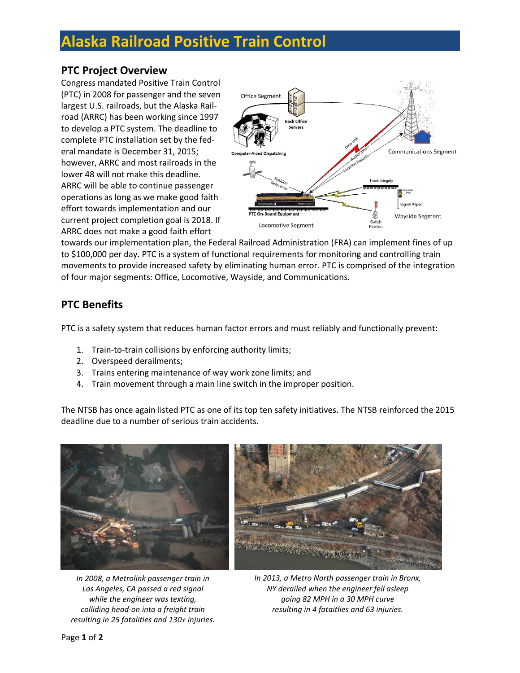# **Alaska Railroad Positive Train Control**

### **PTC Project Overview**

Congress mandated Positive Train Control (PTC) in 2008 for passenger and the seven largest U.S. railroads, but the Alaska Railroad (ARRC) has been working since 1997 to develop a PTC system. The deadline to complete PTC installation set by the federal mandate is December 31, 2015; however, ARRC and most railroads in the lower 48 will not make this deadline. ARRC will be able to continue passenger operations as long as we make good faith effort towards implementation and our current project completion goal is 2018. If ARRC does not make a good faith effort



towards our implementation plan, the Federal Railroad Administration (FRA) can implement fines of up to \$100,000 per day. PTC is a system of functional requirements for monitoring and controlling train movements to provide increased safety by eliminating human error. PTC is comprised of the integration of four major segments: Office, Locomotive, Wayside, and Communications.

### **PTC Benefits**

PTC is a safety system that reduces human factor errors and must reliably and functionally prevent:

- 1. Train-to-train collisions by enforcing authority limits;
- 2. Overspeed derailments;
- 3. Trains entering maintenance of way work zone limits; and
- 4. Train movement through a main line switch in the improper position.

The NTSB has once again listed PTC as one of its top ten safety initiatives. The NTSB reinforced the 2015 deadline due to a number of serious train accidents.



*In 2008, a Metrolink passenger train in Los Angeles, CA passed a red signal while the engineer was texting, colliding head-on into a freight train resulting in 25 fatalities and 130+ injuries.*



*In 2013, a Metro North passenger train in Bronx, NY derailed when the engineer fell asleep going 82 MPH in a 30 MPH curve resulting in 4 fataitlies and 63 injuries.*